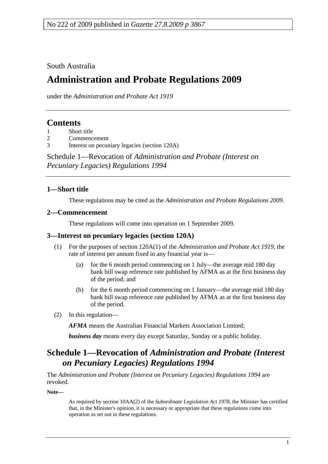South Australia

# **Administration and Probate Regulations 2009**

under the *Administration and Probate Act 1919*

## **Contents**

1 Short title

- 2 Commencement
- 3 Interest on pecuniary legacies (section 120A)

Schedule 1—Revocation of *Administration and Probate (Interest on Pecuniary Legacies) Regulations 1994*

#### **1—Short title**

These regulations may be cited as the *Administration and Probate Regulations 2009*.

#### **2—Commencement**

These regulations will come into operation on 1 September 2009.

#### **3—Interest on pecuniary legacies (section 120A)**

- (1) For the purposes of section 120A(1) of the *Administration and Probate Act 1919*, the rate of interest per annum fixed in any financial year is—
	- (a) for the 6 month period commencing on 1 July—the average mid 180 day bank bill swap reference rate published by AFMA as at the first business day of the period; and
	- (b) for the 6 month period commencing on 1 January—the average mid 180 day bank bill swap reference rate published by AFMA as at the first business day of the period.
- (2) In this regulation—

*AFMA* means the Australian Financial Markets Association Limited;

*business day* means every day except Saturday, Sunday or a public holiday.

## **Schedule 1—Revocation of** *Administration and Probate (Interest on Pecuniary Legacies) Regulations 1994*

The *Administration and Probate (Interest on Pecuniary Legacies) Regulations 1994* are revoked.

**Note—** 

As required by section 10AA(2) of the *Subordinate Legislation Act 1978*, the Minister has certified that, in the Minister's opinion, it is necessary or appropriate that these regulations come into operation as set out in these regulations.